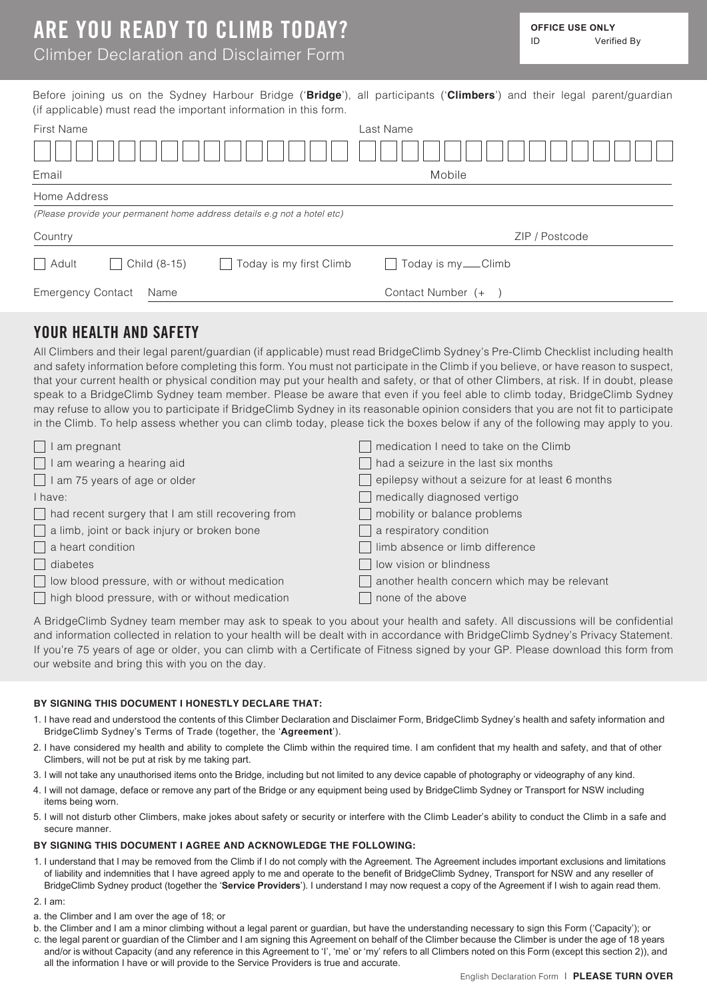## Climber Declaration and Disclaimer Form

|                          |                     | (if applicable) must read the important information in this form.        | Before joining us on the Sydney Harbour Bridge ('Bridge'), all participants ('Climbers') and their legal parent/guardian |                |  |
|--------------------------|---------------------|--------------------------------------------------------------------------|--------------------------------------------------------------------------------------------------------------------------|----------------|--|
| <b>First Name</b>        |                     |                                                                          | Last Name                                                                                                                |                |  |
|                          |                     |                                                                          |                                                                                                                          |                |  |
| Email                    |                     |                                                                          | Mobile                                                                                                                   |                |  |
| Home Address             |                     |                                                                          |                                                                                                                          |                |  |
|                          |                     | (Please provide your permanent home address details e.g not a hotel etc) |                                                                                                                          |                |  |
| Country                  |                     |                                                                          |                                                                                                                          | ZIP / Postcode |  |
| $\Box$ Adult             | $\Box$ Child (8-15) | Today is my first Climb                                                  | Today is my ___ Climb                                                                                                    |                |  |
| <b>Emergency Contact</b> | Name                |                                                                          | Contact Number (+                                                                                                        |                |  |

### **YOUR HEALTH AND SAFETY**

All Climbers and their legal parent/guardian (if applicable) must read BridgeClimb Sydney's Pre-Climb Checklist including health and safety information before completing this form. You must not participate in the Climb if you believe, or have reason to suspect, that your current health or physical condition may put your health and safety, or that of other Climbers, at risk. If in doubt, please speak to a BridgeClimb Sydney team member. Please be aware that even if you feel able to climb today, BridgeClimb Sydney may refuse to allow you to participate if BridgeClimb Sydney in its reasonable opinion considers that you are not fit to participate in the Climb. To help assess whether you can climb today, please tick the boxes below if any of the following may apply to you.

| am pregnant                                           | medication I need to take on the Climb           |
|-------------------------------------------------------|--------------------------------------------------|
| $\Box$ I am wearing a hearing aid                     | had a seizure in the last six months             |
| $\Box$ I am 75 years of age or older                  | epilepsy without a seizure for at least 6 months |
| I have:                                               | medically diagnosed vertigo                      |
| had recent surgery that I am still recovering from    | mobility or balance problems                     |
| $\Box$ a limb, joint or back injury or broken bone    | a respiratory condition                          |
| $\Box$ a heart condition                              | limb absence or limb difference                  |
| diabetes                                              | low vision or blindness                          |
| $\Box$ low blood pressure, with or without medication | another health concern which may be relevant     |
| high blood pressure, with or without medication       | none of the above                                |

A BridgeClimb Sydney team member may ask to speak to you about your health and safety. All discussions will be confidential and information collected in relation to your health will be dealt with in accordance with BridgeClimb Sydney's Privacy Statement. If you're 75 years of age or older, you can climb with a Certificate of Fitness signed by your GP. Please download this form from our website and bring this with you on the day.

#### **BY SIGNING THIS DOCUMENT I HONESTLY DECLARE THAT:**

- 1. I have read and understood the contents of this Climber Declaration and Disclaimer Form, BridgeClimb Sydney's health and safety information and BridgeClimb Sydney's Terms of Trade (together, the '**Agreement**').
- 2. I have considered my health and ability to complete the Climb within the required time. I am confident that my health and safety, and that of other Climbers, will not be put at risk by me taking part.
- 3. I will not take any unauthorised items onto the Bridge, including but not limited to any device capable of photography or videography of any kind.
- 4. I will not damage, deface or remove any part of the Bridge or any equipment being used by BridgeClimb Sydney or Transport for NSW including items being worn.
- 5. I will not disturb other Climbers, make jokes about safety or security or interfere with the Climb Leader's ability to conduct the Climb in a safe and secure manner.

#### **BY SIGNING THIS DOCUMENT I AGREE AND ACKNOWLEDGE THE FOLLOWING:**

- 1. I understand that I may be removed from the Climb if I do not comply with the Agreement. The Agreement includes important exclusions and limitations of liability and indemnities that I have agreed apply to me and operate to the benefit of BridgeClimb Sydney, Transport for NSW and any reseller of BridgeClimb Sydney product (together the '**Service Providers**'). I understand I may now request a copy of the Agreement if I wish to again read them.
- 2. I am:
- a. the Climber and I am over the age of 18; or
- b. the Climber and I am a minor climbing without a legal parent or guardian, but have the understanding necessary to sign this Form ('Capacity'); or
- c. the legal parent or guardian of the Climber and I am signing this Agreement on behalf of the Climber because the Climber is under the age of 18 years and/or is without Capacity (and any reference in this Agreement to 'I', 'me' or 'my' refers to all Climbers noted on this Form (except this section 2)), and all the information I have or will provide to the Service Providers is true and accurate.